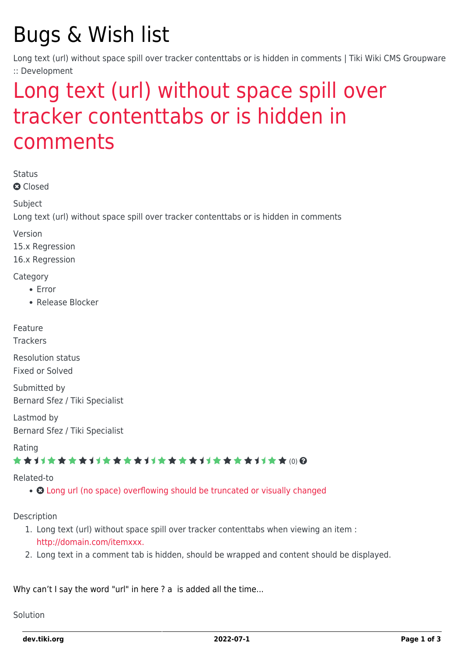# Bugs & Wish list

Long text (url) without space spill over tracker contenttabs or is hidden in comments | Tiki Wiki CMS Groupware :: Development

## [Long text \(url\) without space spill over](https://dev.tiki.org/item6123-Long-text-ur-x-l-without-space-spill-over-tracker-contenttabs-or-is-hidden-in-comments) [tracker contenttabs or is hidden in](https://dev.tiki.org/item6123-Long-text-ur-x-l-without-space-spill-over-tracker-contenttabs-or-is-hidden-in-comments) [comments](https://dev.tiki.org/item6123-Long-text-ur-x-l-without-space-spill-over-tracker-contenttabs-or-is-hidden-in-comments)

Status

**Q** Closed

**Subject** 

Long text (url) without space spill over tracker contenttabs or is hidden in comments

Version

15.x Regression

16.x Regression

**Category** 

- Error
- Release Blocker

Feature

Trackers

Resolution status Fixed or Solved

Submitted by Bernard Sfez / Tiki Specialist

Lastmod by Bernard Sfez / Tiki Specialist

Rating

#### \*\*\*\*\*\*\*\*\*\*\*\*\*\*\*\*\*\*\*\*\*\*\*\*\*\*\*\*\*\*

Related-to

• **O** [Long url \(no space\) overflowing should be truncated or visually changed](https://dev.tiki.org/item6063-Long-url-no-space-overflowing-should-be-truncated-or-visually-changed)

Description

- 1. Long text (url) without space spill over tracker contenttabs when viewing an item : <http://domain.com/itemxxx.>
- 2. Long text in a comment tab is hidden, should be wrapped and content should be displayed.

Why can't I say the word "url" in here ? a is added all the time...

Solution